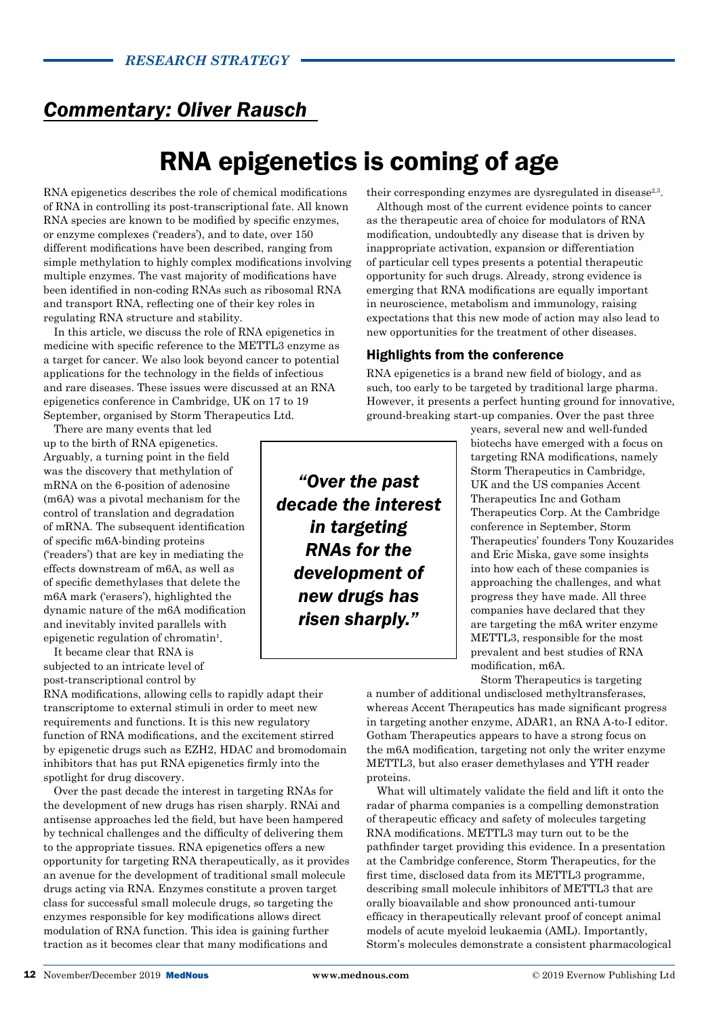## *Commentary: Oliver Rausch*

# RNA epigenetics is coming of age

RNA epigenetics describes the role of chemical modifications of RNA in controlling its post-transcriptional fate. All known RNA species are known to be modified by specific enzymes. or enzyme complexes ('readers'), and to date, over 150 different modifications have been described, ranging from simple methylation to highly complex modifications involving multiple enzymes. The vast majority of modifications have been identified in non-coding RNAs such as ribosomal RNA and transport RNA, reflecting one of their key roles in regulating RNA structure and stability.

In this article, we discuss the role of RNA epigenetics in medicine with specific reference to the METTL3 enzyme as a target for cancer. We also look beyond cancer to potential applications for the technology in the fields of infectious and rare diseases. These issues were discussed at an RNA epigenetics conference in Cambridge, UK on 17 to 19 September, organised by Storm Therapeutics Ltd.

There are many events that led up to the birth of RNA epigenetics. Arguably, a turning point in the field was the discovery that methylation of mRNA on the 6-position of adenosine (m6A) was a pivotal mechanism for the control of translation and degradation of mRNA. The subsequent identification of specific m6A-binding proteins ('readers') that are key in mediating the effects downstream of m6A, as well as of specific demethylases that delete the m6A mark ('erasers'), highlighted the dynamic nature of the m6A modification and inevitably invited parallels with epigenetic regulation of chromatin<sup>1</sup>.

It became clear that RNA is subjected to an intricate level of post-transcriptional control by

RNA modifications, allowing cells to rapidly adapt their transcriptome to external stimuli in order to meet new requirements and functions. It is this new regulatory function of RNA modifications, and the excitement stirred by epigenetic drugs such as EZH2, HDAC and bromodomain inhibitors that has put RNA epigenetics firmly into the spotlight for drug discovery.

Over the past decade the interest in targeting RNAs for the development of new drugs has risen sharply. RNAi and antisense approaches led the field, but have been hampered by technical challenges and the difficulty of delivering them to the appropriate tissues. RNA epigenetics offers a new opportunity for targeting RNA therapeutically, as it provides an avenue for the development of traditional small molecule drugs acting via RNA. Enzymes constitute a proven target class for successful small molecule drugs, so targeting the enzymes responsible for key modifications allows direct modulation of RNA function. This idea is gaining further traction as it becomes clear that many modifications and

their corresponding enzymes are dysregulated in disease<sup>2,3</sup>.

Although most of the current evidence points to cancer as the therapeutic area of choice for modulators of RNA modification, undoubtedly any disease that is driven by inappropriate activation, expansion or differentiation of particular cell types presents a potential therapeutic opportunity for such drugs. Already, strong evidence is emerging that RNA modifications are equally important in neuroscience, metabolism and immunology, raising expectations that this new mode of action may also lead to new opportunities for the treatment of other diseases.

### Highlights from the conference

RNA epigenetics is a brand new field of biology, and as such, too early to be targeted by traditional large pharma. However, it presents a perfect hunting ground for innovative, ground-breaking start-up companies. Over the past three

*"Over the past decade the interest in targeting RNAs for the development of new drugs has risen sharply."*

years, several new and well-funded biotechs have emerged with a focus on targeting RNA modifications, namely Storm Therapeutics in Cambridge, UK and the US companies Accent Therapeutics Inc and Gotham Therapeutics Corp. At the Cambridge conference in September, Storm Therapeutics' founders Tony Kouzarides and Eric Miska, gave some insights into how each of these companies is approaching the challenges, and what progress they have made. All three companies have declared that they are targeting the m6A writer enzyme METTL3, responsible for the most prevalent and best studies of RNA modification, m6A.

Storm Therapeutics is targeting a number of additional undisclosed methyltransferases, whereas Accent Therapeutics has made significant progress in targeting another enzyme, ADAR1, an RNA A-to-I editor. Gotham Therapeutics appears to have a strong focus on the m6A modification, targeting not only the writer enzyme METTL3, but also eraser demethylases and YTH reader proteins.

What will ultimately validate the field and lift it onto the radar of pharma companies is a compelling demonstration of therapeutic efficacy and safety of molecules targeting RNA modifications. METTL3 may turn out to be the pathfinder target providing this evidence. In a presentation at the Cambridge conference, Storm Therapeutics, for the first time, disclosed data from its METTL3 programme, describing small molecule inhibitors of METTL3 that are orally bioavailable and show pronounced anti-tumour efficacy in therapeutically relevant proof of concept animal models of acute myeloid leukaemia (AML). Importantly, Storm's molecules demonstrate a consistent pharmacological